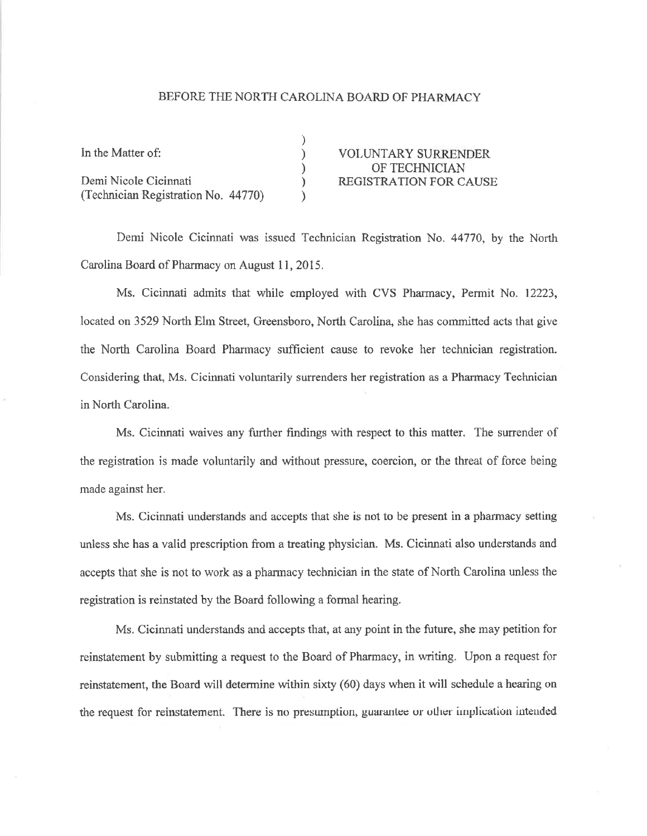## BEFORE THE NORTH CAROLINA BOARD OF PHARMACY

| In the Matter of:                   | <b>VOLUNTARY SURRENDER</b>    |
|-------------------------------------|-------------------------------|
|                                     | OF TECHNICIAN                 |
| Demi Nicole Cicinnati               | <b>REGISTRATION FOR CAUSE</b> |
| (Technician Registration No. 44770) |                               |

Demi Nicole Cicinnati was issued Technician Registration No. 44770, by the North Carolina Board of Pharmacy on August 11, 2015.

Ms. Cicinnati admits that while employed with CVS Pharmacy, Permit No. 12223, located on 3529 North Elm Street, Greensboro, North Carolina, she has committed acts that give the North Carolina Board Pharmacy sufficient cause to revoke her technician registration. Considering that, Ms. Cicinnati voluntarily surrenders her registration as a Pharrnacy Technician in North Carolina.

Ms. Cicinnati waives any further findings with respect to this matter. The surrender of the registration is made voluntarily and without prsssure, coercion, or the threat of force being made against her.

Ms. Cicinnati understands and accepts that she is not to be present in a pharmacy setting unless she has a valid prescription from a treating physician. Ms. Cicinnati also understærds and accepts that she is not to work as a pharmacy technician in the state of North Carolina unless the registration is reinstated by the Board following a formal hearing.

Ms. Cicinnati understands and accepts that, at any point in the future, she may petition for reinstatement by submitting a request to the Board of Pharmacy, in writing. Upon a request for reinstatement, the Board will determine within sixty (60) days when it will schedule a hearing on the request for reinstatement. There is no presumption, guarantee or other implication intended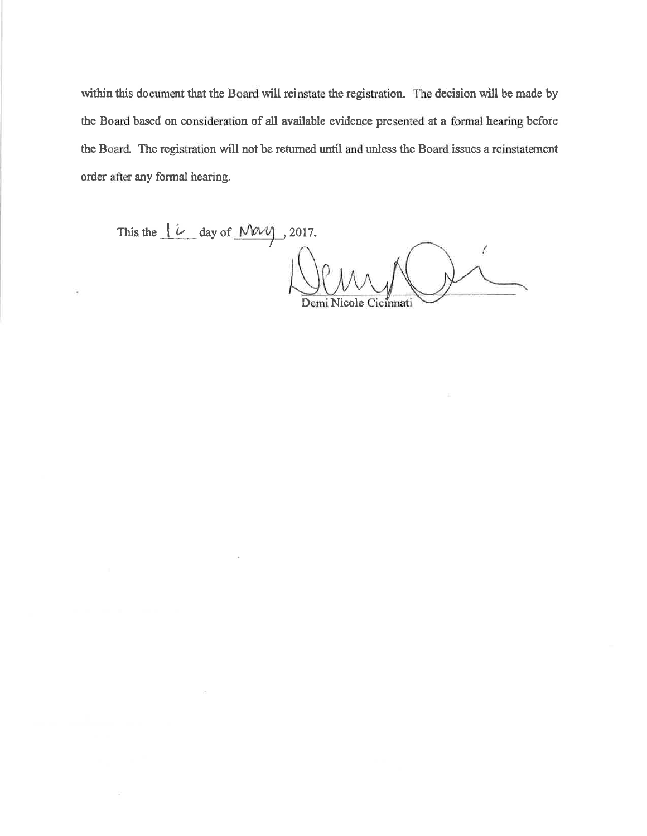within this document that the Board will reinstate the registration. The decision will be made by the Board based on consideration of all available evidence presented at a formal hearing before the Board. The registration will not be returned until and unless the Board issues a reinstatement order after any formal hearing.

This the  $\frac{|\hat{\iota}|}{\hat{\iota}}$  day of  $\overline{\text{May}}$ , 2017. Demi Nico Cicinnati